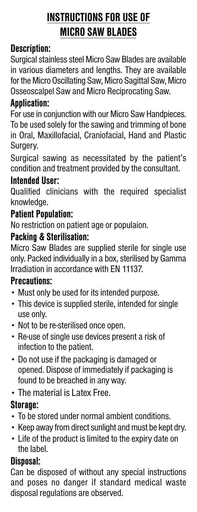# **INSTRUCTIONS FOR USE OF MICRO SAW BLADES**

# **Description:**

Surgical stainless steel Micro Saw Blades are available in various diameters and lengths. They are available for the Micro Oscillating Saw, Micro Sagittal Saw, Micro Osseoscalpel Saw and Micro Reciprocating Saw.

## **Application:**

For use in conjunction with our Micro Saw Handpieces. To be used solely for the sawing and trimming of bone in Oral, Maxillofacial, Craniofacial, Hand and Plastic Surgery.

Surgical sawing as necessitated by the patient's condition and treatment provided by the consultant.

#### **Intended User:**

Qualified clinicians with the required specialist knowledge.

#### **Patient Population:**

No restriction on patient age or populaion.

# **Packing & Sterilisation:**

Micro Saw Blades are supplied sterile for single use only. Packed individually in a box, sterilised by Gamma Irradiation in accordance with EN 11137.

#### **Precautions:**

- Must only be used for its intended purpose.
- This device is supplied sterile, intended for single use only.
- Not to be re-sterilised once open.
- Re-use of single use devices present a risk of infection to the patient.
- Do not use if the packaging is damaged or opened. Dispose of immediately if packaging is found to be breached in any way.
- The material is Latex Free.

# **Storage:**

- To be stored under normal ambient conditions.
- Keep away from direct sunlight and must be kept dry.
- Life of the product is limited to the expiry date on the label.

# **Disposal:**

Can be disposed of without any special instructions and poses no danger if standard medical waste disposal regulations are observed.